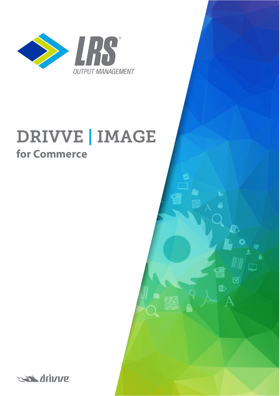

# **DRIVVE | IMAGE for Commerce**

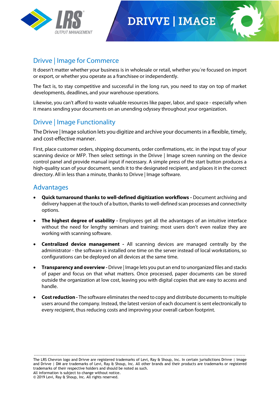

# **DRIVVE | IMAGE**



### Drivve | Image for Commerce

It doesn't matter whether your business is in wholesale or retail, whether you´re focused on import or export, or whether you operate as a franchisee or independently.

The fact is, to stay competitive and successful in the long run, you need to stay on top of market developments, deadlines, and your warehouse operations.

Likewise, you can't afford to waste valuable resources like paper, labor, and space - especially when it means sending your documents on an unending odyssey throughout your organization.

### Drivve | Image Functionality

The Drivve | Image solution lets you digitize and archive your documents in a flexible, timely, and cost-effective manner.

First, place customer orders, shipping documents, order confirmations, etc. in the input tray of your scanning device or MFP. Then select settings in the Drivve | Image screen running on the device control panel and provide manual input if necessary. A simple press of the start button produces a high-quality scan of your document, sends it to the designated recipient, and places it in the correct directory. All in less than a minute, thanks to Drivve | Image software.

#### Advantages

- **Quick turnaround thanks to well-defined digitization workflows -** Document archiving and delivery happen at the touch of a button, thanks to well-defined scan processes and connectivity options.
- **The highest degree of usability -** Employees get all the advantages of an intuitive interface without the need for lengthy seminars and training; most users don't even realize they are working with scanning software.
- **Centralized device management -** All scanning devices are managed centrally by the administrator - the software is installed one time on the server instead of local workstations, so configurations can be deployed on all devices at the same time.
- **Transparency and overview -** Drivve | Image lets you put an end to unorganized files and stacks of paper and focus on that what matters. Once processed, paper documents can be stored outside the organization at low cost, leaving you with digital copies that are easy to access and handle.
- **Cost reduction -** The software eliminates the need to copy and distribute documents to multiple users around the company. Instead, the latest version of each document is sent electronically to every recipient, thus reducing costs and improving your overall carbon footprint.

------------------------------------------------------------------------------------------------------------------------------------------------------ The LRS Chevron logo and Drivve are registered trademarks of Levi, Ray & Shoup, Inc. In certain jurisdictions Drivve | Image and Drivve | DM are trademarks of Levi, Ray & Shoup, Inc. All other brands and their products are trademarks or registered trademarks of their respective holders and should be noted as such. All information is subject to change without notice. © 2019 Levi, Ray & Shoup, Inc. All rights reserved.